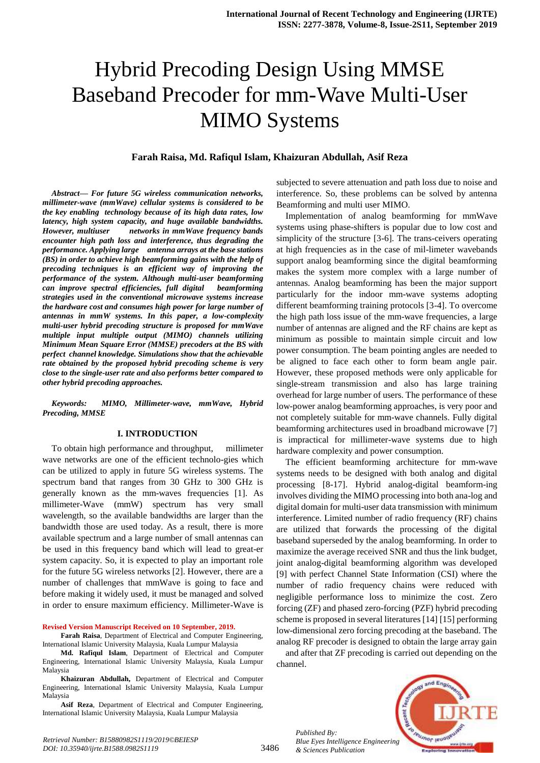# Hybrid Precoding Design Using MMSE Baseband Precoder for mm-Wave Multi-User MIMO Systems

#### **Farah Raisa, Md. Rafiqul Islam, Khaizuran Abdullah, Asif Reza**

*Abstract***—** *For future 5G wireless communication networks, millimeter-wave (mmWave) cellular systems is considered to be the key enabling technology because of its high data rates, low latency, high system capacity, and huge available bandwidths. However, multiuser networks in mmWave frequency bands encounter high path loss and interference, thus degrading the performance. Applying large antenna arrays at the base stations (BS) in order to achieve high beamforming gains with the help of precoding techniques is an efficient way of improving the performance of the system. Although multi-user beamforming can improve spectral efficiencies, full digital beamforming strategies used in the conventional microwave systems increase the hardware cost and consumes high power for large number of antennas in mmW systems. In this paper, a low-complexity multi-user hybrid precoding structure is proposed for mmWave multiple input multiple output (MIMO) channels utilizing Minimum Mean Square Error (MMSE) precoders at the BS with perfect channel knowledge. Simulations show that the achievable rate obtained by the proposed hybrid precoding scheme is very close to the single-user rate and also performs better compared to other hybrid precoding approaches.*

*Keywords: MIMO, Millimeter-wave, mmWave, Hybrid Precoding, MMSE*

#### **I. INTRODUCTION**

To obtain high performance and throughput, millimeter wave networks are one of the efficient technolo-gies which can be utilized to apply in future 5G wireless systems. The spectrum band that ranges from 30 GHz to 300 GHz is generally known as the mm-waves frequencies [1]. As millimeter-Wave (mmW) spectrum has very small wavelength, so the available bandwidths are larger than the bandwidth those are used today. As a result, there is more available spectrum and a large number of small antennas can be used in this frequency band which will lead to great-er system capacity. So, it is expected to play an important role for the future 5G wireless networks [2]. However, there are a number of challenges that mmWave is going to face and before making it widely used, it must be managed and solved in order to ensure maximum efficiency. Millimeter-Wave is

**Revised Version Manuscript Received on 10 September, 2019.**

**Farah Raisa**, Department of Electrical and Computer Engineering, International Islamic University Malaysia, Kuala Lumpur Malaysia

**Md. Rafiqul Islam**, Department of Electrical and Computer Engineering, International Islamic University Malaysia, Kuala Lumpur Malaysia

**Khaizuran Abdullah,** Department of Electrical and Computer Engineering, International Islamic University Malaysia, Kuala Lumpur Malaysia

**Asif Reza**, Department of Electrical and Computer Engineering, International Islamic University Malaysia, Kuala Lumpur Malaysia

subjected to severe attenuation and path loss due to noise and interference. So, these problems can be solved by antenna Beamforming and multi user MIMO.

Implementation of analog beamforming for mmWave systems using phase-shifters is popular due to low cost and simplicity of the structure [3-6]. The trans-ceivers operating at high frequencies as in the case of mil-limeter wavebands support analog beamforming since the digital beamforming makes the system more complex with a large number of antennas. Analog beamforming has been the major support particularly for the indoor mm-wave systems adopting different beamforming training protocols [3-4]. To overcome the high path loss issue of the mm-wave frequencies, a large number of antennas are aligned and the RF chains are kept as minimum as possible to maintain simple circuit and low power consumption. The beam pointing angles are needed to be aligned to face each other to form beam angle pair. However, these proposed methods were only applicable for single-stream transmission and also has large training overhead for large number of users. The performance of these low-power analog beamforming approaches, is very poor and not completely suitable for mm-wave channels. Fully digital beamforming architectures used in broadband microwave [7] is impractical for millimeter-wave systems due to high hardware complexity and power consumption.

The efficient beamforming architecture for mm-wave systems needs to be designed with both analog and digital processing [8-17]. Hybrid analog-digital beamform-ing involves dividing the MIMO processing into both ana-log and digital domain for multi-user data transmission with minimum interference. Limited number of radio frequency (RF) chains are utilized that forwards the processing of the digital baseband superseded by the analog beamforming. In order to maximize the average received SNR and thus the link budget, joint analog-digital beamforming algorithm was developed [9] with perfect Channel State Information (CSI) where the number of radio frequency chains were reduced with negligible performance loss to minimize the cost. Zero forcing (ZF) and phased zero-forcing (PZF) hybrid precoding scheme is proposed in several literatures [14] [15] performing low-dimensional zero forcing precoding at the baseband. The analog RF precoder is designed to obtain the large array gain

and after that ZF precoding is carried out depending on the channel.



*Retrieval Number: B15880982S1119/2019©BEIESP DOI: 10.35940/ijrte.B1588.0982S1119*

*Published By:*

*& Sciences Publication*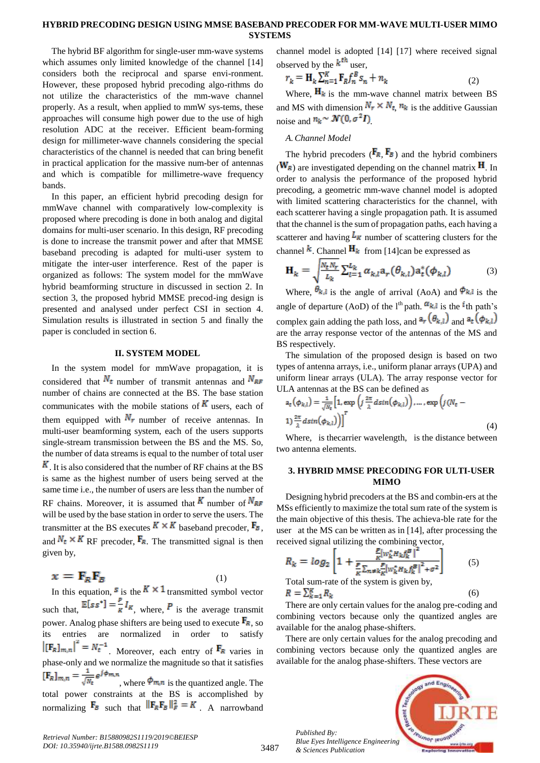### **HYBRID PRECODING DESIGN USING MMSE BASEBAND PRECODER FOR MM-WAVE MULTI-USER MIMO SYSTEMS**

The hybrid BF algorithm for single-user mm-wave systems which assumes only limited knowledge of the channel [14] considers both the reciprocal and sparse envi-ronment. However, these proposed hybrid precoding algo-rithms do not utilize the characteristics of the mm-wave channel properly. As a result, when applied to mmW sys-tems, these approaches will consume high power due to the use of high resolution ADC at the receiver. Efficient beam-forming design for millimeter-wave channels considering the special characteristics of the channel is needed that can bring benefit in practical application for the massive num-ber of antennas and which is compatible for millimetre-wave frequency bands.

In this paper, an efficient hybrid precoding design for mmWave channel with comparatively low-complexity is proposed where precoding is done in both analog and digital domains for multi-user scenario. In this design, RF precoding is done to increase the transmit power and after that MMSE baseband precoding is adapted for multi-user system to mitigate the inter-user interference. Rest of the paper is organized as follows: The system model for the mmWave hybrid beamforming structure in discussed in section 2. In section 3, the proposed hybrid MMSE precod-ing design is presented and analysed under perfect CSI in section 4. Simulation results is illustrated in section 5 and finally the paper is concluded in section 6.

### **II. SYSTEM MODEL**

In the system model for mmWave propagation, it is considered that  $N_t$  number of transmit antennas and  $N_{RF}$ number of chains are connected at the BS. The base station communicates with the mobile stations of  $K$  users, each of them equipped with  $N_r$  number of receive antennas. In multi-user beamforming system, each of the users supports single-stream transmission between the BS and the MS. So, the number of data streams is equal to the number of total user  $\overline{K}$ . It is also considered that the number of RF chains at the BS is same as the highest number of users being served at the same time i.e., the number of users are less than the number of RF chains. Moreover, it is assumed that  $K$  number of  $N_{RF}$ will be used by the base station in order to serve the users. The transmitter at the BS executes  $K \times K$  baseband precoder,  $\mathbf{F}_B$ , and  $N_t \times K$  RF precoder,  $\mathbf{F}_R$ . The transmitted signal is then given by,

 $x = F_p F_R$ (1) In this equation,  $s$  is the  $K \times 1$  transmitted symbol vector such that,  $\mathbb{E}[ss^*] = \frac{P}{\kappa} I_{\kappa}$ , where, P is the average transmit power. Analog phase shifters are being used to execute  $\mathbf{F}_{\mathbf{R}}$ , so its entries are normalized in order to satisfy  $\left\| \left[{\bf F}_R \right]_{m,n} \right\|^2 = N_t^{-1}$  Moreover, each entry of  ${\bf F}_R$  varies in phase-only and we normalize the magnitude so that it satisfies  $[\mathbf{F}_R]_{m,n} = \frac{1}{\sqrt{N_E}} e^{j\phi_{m,n}}$ , where  $\phi_{m,n}$  is the quantized angle. The total power constraints at the BS is accomplished by normalizing  $\mathbf{F}_B$  such that  $\|\mathbf{F}_R\mathbf{F}_B\|^2_F = K$  A narrowband

channel model is adopted [14] [17] where received signal observed by the  $k^{\text{th}}$  user,

$$
r_k = \mathbf{H}_k \sum_{n=1}^K \mathbf{F}_R f_n^B s_n + n_k \tag{2}
$$

Where,  $\mathbf{H}_k$  is the mm-wave channel matrix between BS and MS with dimension  $N_r \times N_t$ ,  $n_k$  is the additive Gaussian noise and  $n_k \sim \mathcal{N}(0, \sigma^2 I)$ 

## *A.Channel Model*

The hybrid precoders  $(\mathbf{F}_R, \mathbf{F}_B)$  and the hybrid combiners  $(W_R)$  are investigated depending on the channel matrix  $H$ . In order to analysis the performance of the proposed hybrid precoding, a geometric mm-wave channel model is adopted with limited scattering characteristics for the channel, with each scatterer having a single propagation path. It is assumed that the channel is the sum of propagation paths, each having a scatterer and having  $L_{\kappa}$  number of scattering clusters for the channel  $\mathbf{k}$ . Channel  $\mathbf{H}_{k}$  from [14]can be expressed as

$$
\mathbf{H}_{k} = \sqrt{\frac{N_{t}N_{r}}{L_{k}}} \sum_{l=1}^{L_{k}} \alpha_{k,l} a_{r}(\theta_{k,l}) a_{t}^{*}(\phi_{k,l})
$$
(3)

Where,  $\theta_{k,l}$  is the angle of arrival (AoA) and  $\theta_{k,l}$  is the angle of departure (AoD) of the  $l^{\text{th}}$  path.  $\alpha_{k,l}$  is the  $l^{\text{th}}$  path's complex gain adding the path loss, and  $a_r$  ( $\theta_{k,l}$ ) and  $a_t$  ( $\phi_{k,l}$ ) are the array response vector of the antennas of the MS and BS respectively.

The simulation of the proposed design is based on two types of antenna arrays, i.e., uniform planar arrays (UPA) and uniform linear arrays (ULA). The array response vector for ULA antennas at the BS can be defined as

$$
a_t(\phi_{k,l}) = \frac{1}{\sqrt{N_t}} \Big[ 1, \exp\Big(j\frac{2\pi}{\lambda} d\sin(\phi_{k,l})\Big), \dots, \exp\Big(j(N_t - 1)\frac{2\pi}{\lambda} d\sin(\phi_{k,l})\Big) \Big]^T
$$
\n(4)

Where, is the carrier wavelength, is the distance between two antenna elements.

## **3. HYBRID MMSE PRECODING FOR ULTI-USER MIMO**

Designing hybrid precoders at the BS and combin-ers at the MSs efficiently to maximize the total sum rate of the system is the main objective of this thesis. The achieva-ble rate for the user at the MS can be written as in [14], after processing the received signal utilizing the combining vector,

$$
R_k = \log_2 \left[ 1 + \frac{\frac{P}{R} |w_k^* H_k f_k^B|^2}{\frac{P}{R} \sum_{n \neq k} \frac{P}{R} |w_k^* H_k f_k^B|^2 + \sigma^2} \right] \tag{5}
$$

Total sum-rate of the system is given by,  $R = \sum_{k=1}^{K} R_k$ 

There are only certain values for the analog pre-coding and combining vectors because only the quantized angles are available for the analog phase-shifters.

There are only certain values for the analog precoding and combining vectors because only the quantized angles are available for the analog phase-shifters. These vectors are



(6)

3487

*Published By:*

*& Sciences Publication*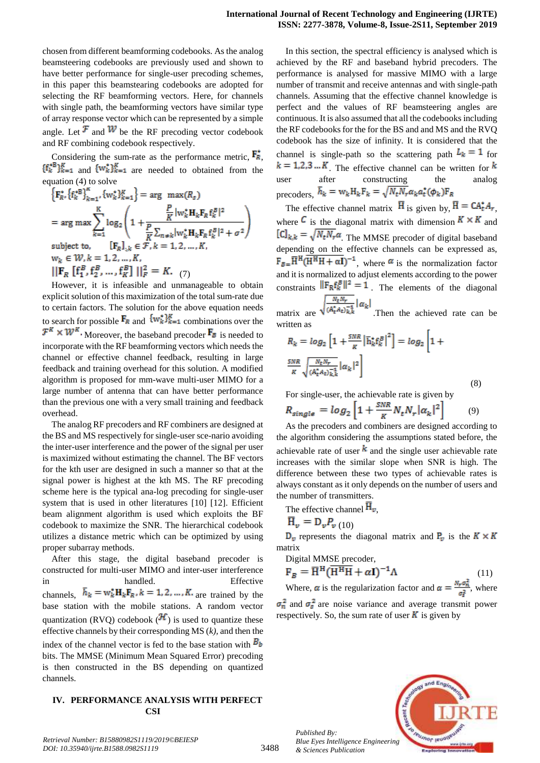chosen from different beamforming codebooks. As the analog beamsteering codebooks are previously used and shown to have better performance for single-user precoding schemes, in this paper this beamstearing codebooks are adopted for selecting the RF beamforming vectors. Here, for channels with single path, the beamforming vectors have similar type of array response vector which can be represented by a simple angle. Let  $\mathcal{F}$  and  $\mathcal{W}$  be the RF precoding vector codebook and RF combining codebook respectively.

Considering the sum-rate as the performance metric,  $\mathbf{F}_{\mathbf{R}}$ ,  $\{f_k^* \}_{k=1}^K$  and  $\{w_k^*\}_{k=1}^K$  are needed to obtained from the equation (4) to solve

$$
\left\{ \mathbf{F}_{R}^{*} \left\{ \mathbf{f}_{k}^{*} \right\}_{k=1}^{K}, \left\{ w_{k}^{*} \right\}_{k=1}^{K} \right\} = \arg \max (R_{s})
$$
\n
$$
= \arg \max \sum_{k=1}^{K} \log_{2} \left( 1 + \frac{\frac{P}{K} |w_{k}^{*} \mathbf{H}_{k} \mathbf{F}_{R} \mathbf{f}_{k}^{B} |^{2}}{\frac{P}{K} \sum_{n \neq k} |w_{k}^{*} \mathbf{H}_{k} \mathbf{F}_{R} \mathbf{f}_{k}^{B} |^{2} + \sigma^{2}} \right)
$$
\nsubject to,\n
$$
[\mathbf{F}_{R}]_{*k} \in \mathcal{F}, k = 1, 2, ..., K,
$$
\n
$$
w_{k} \in \mathcal{W}, k = 1, 2, ..., K,
$$
\n
$$
||\mathbf{F}_{R} [\mathbf{f}_{1}^{B}, \mathbf{f}_{2}^{B}, ..., \mathbf{f}_{K}^{B}] ||_{F}^{2} = K.
$$
\n(7)

However, it is infeasible and unmanageable to obtain explicit solution of this maximization of the total sum-rate due to certain factors. The solution for the above equation needs to search for possible  $\mathbf{F}_R$  and  $\{w_k^*\}_{k=1}^K$  combinations over the  $\mathcal{F}^K \times \mathcal{W}^K$ . Moreover, the baseband precoder  $\mathbf{F}_{\bar{\mathbf{g}}}$  is needed to incorporate with the RF beamforming vectors which needs the channel or effective channel feedback, resulting in large feedback and training overhead for this solution. A modified algorithm is proposed for mm-wave multi-user MIMO for a large number of antenna that can have better performance than the previous one with a very small training and feedback overhead.

The analog RF precoders and RF combiners are designed at the BS and MS respectively for single-user sce-nario avoiding the inter-user interference and the power of the signal per user is maximized without estimating the channel. The BF vectors for the kth user are designed in such a manner so that at the signal power is highest at the kth MS. The RF precoding scheme here is the typical ana-log precoding for single-user system that is used in other literatures [10] [12]. Efficient beam alignment algorithm is used which exploits the BF codebook to maximize the SNR. The hierarchical codebook utilizes a distance metric which can be optimized by using proper subarray methods.

After this stage, the digital baseband precoder is constructed for multi-user MIMO and inter-user interference in handled. Effective channels,  $\bar{h}_k = w_k^* H_k F_R$ ,  $k = 1, 2, ..., K$  are trained by the base station with the mobile stations. A random vector quantization (RVQ) codebook  $(\mathcal{H})$  is used to quantize these effective channels by their corresponding MS (*k),* and then the index of the channel vector is fed to the base station with  $B_b$ bits. The MMSE (Minimum Mean Squared Error) precoding is then constructed in the BS depending on quantized channels.

## **IV. PERFORMANCE ANALYSIS WITH PERFECT CSI**

In this section, the spectral efficiency is analysed which is achieved by the RF and baseband hybrid precoders. The performance is analysed for massive MIMO with a large number of transmit and receive antennas and with single-path channels. Assuming that the effective channel knowledge is perfect and the values of RF beamsteering angles are continuous. It is also assumed that all the codebooks including the RF codebooks for the for the BS and and MS and the RVQ codebook has the size of infinity. It is considered that the channel is single-path so the scattering path  $L_k = 1$  for  $k = 1,2,3...K$  The effective channel can be written for  $k$ user after constructing the analog precoders,  $\bar{h}_k = w_k H_k F_k = \sqrt{N_t N_r} \alpha_k a_t^*(\phi_k) F_R$ 

The effective channel matrix  $\overline{H}$  is given by,  $\overline{H} = CA_t^* A_r$ , where  $\epsilon$  is the diagonal matrix with dimension  $K \times K$  and  $\left[\mathbf{C}\right]_{k,k} = \sqrt{N_t N_r} \alpha$ . The MMSE precoder of digital baseband depending on the effective channels can be expressed as,  $F_{B} = \overline{H}^{H}(\overline{H^{H}H + \alpha I})^{-1}$ , where  $\alpha$  is the normalization factor and it is normalized to adjust elements according to the power constraints  $\|\mathbf{F}_{\mathbf{R}} \mathbf{f}_{k}^B\|^2 = 1$ . The elements of the diagonal matrix are  $\sqrt{\frac{N_t N_r}{(A_t^* A_t) k_k^*}} \log |\alpha_k|$ . Then the achieved rate can be written as

$$
R_k = \log_2 \left[ 1 + \frac{SNR}{\kappa} \left| \overline{\mathbf{h}}_k^* \mathbf{f}_k^B \right|^2 \right] = \log_2 \left[ 1 + \frac{SNR}{\kappa} \sqrt{\frac{N_E N_F}{(A_t^* A_t) \overline{\mathbf{k}}_k^*}} | \alpha_k |^2 \right]
$$
\n(8)

For single-user, the achievable rate is given by

$$
R_{single} = \log_2 \left[ 1 + \frac{SNR}{K} N_t N_r |\alpha_k|^2 \right] \tag{9}
$$

As the precoders and combiners are designed according to the algorithm considering the assumptions stated before, the achievable rate of user  $k$  and the single user achievable rate increases with the similar slope when SNR is high. The difference between these two types of achievable rates is always constant as it only depends on the number of users and the number of transmitters.

The effective channel  $\overline{H}_{\nu}$ .

$$
\overline{\mathrm{H}}_{v} = \mathrm{D}_{v} P_{v} (10)
$$

*Published By:*

*& Sciences Publication* 

 $D_v$  represents the diagonal matrix and  $P_v$  is the  $K \times K$ matrix

Digital MMSE precoder,

$$
\mathbf{F}_B = \overline{\mathbf{H}}^{\mathbf{H}} (\overline{\mathbf{H}^{\mathbf{H}} \mathbf{H}} + \alpha \mathbf{I})^{-1} \Lambda \tag{11}
$$

Where,  $\alpha$  is the regularization factor and  $\alpha = \frac{N_r \sigma_n^2}{\sigma^2}$ , where  $\sigma_n^2$  and  $\sigma_s^2$  are noise variance and average transmit power respectively. So, the sum rate of user  $\boldsymbol{K}$  is given by

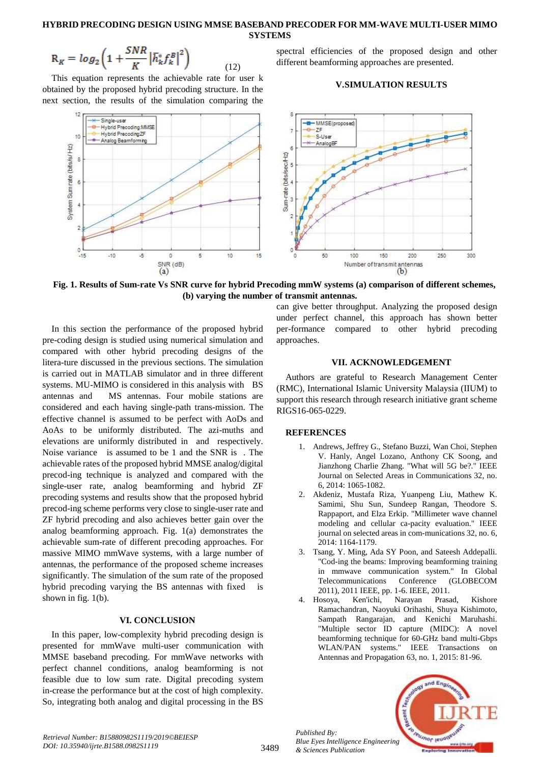## **HYBRID PRECODING DESIGN USING MMSE BASEBAND PRECODER FOR MM-WAVE MULTI-USER MIMO SYSTEMS**

$$
R_K = \log_2\left(1 + \frac{SNR}{K} \left|\bar{h}_k^* f_k^B\right|^2\right) \tag{12}
$$

This equation represents the achievable rate for user k obtained by the proposed hybrid precoding structure. In the next section, the results of the simulation comparing the spectral efficiencies of the proposed design and other different beamforming approaches are presented.

### **V.SIMULATION RESULTS**



**Fig. 1. Results of Sum-rate Vs SNR curve for hybrid Precoding mmW systems (a) comparison of different schemes, (b) varying the number of transmit antennas.**

In this section the performance of the proposed hybrid pre-coding design is studied using numerical simulation and compared with other hybrid precoding designs of the litera-ture discussed in the previous sections. The simulation is carried out in MATLAB simulator and in three different systems. MU-MIMO is considered in this analysis with BS antennas and MS antennas. Four mobile stations are considered and each having single-path trans-mission. The effective channel is assumed to be perfect with AoDs and AoAs to be uniformly distributed. The azi-muths and elevations are uniformly distributed in and respectively. Noise variance is assumed to be 1 and the SNR is . The achievable rates of the proposed hybrid MMSE analog/digital precod-ing technique is analyzed and compared with the single-user rate, analog beamforming and hybrid ZF precoding systems and results show that the proposed hybrid precod-ing scheme performs very close to single-user rate and ZF hybrid precoding and also achieves better gain over the analog beamforming approach. Fig. 1(a) demonstrates the achievable sum-rate of different precoding approaches. For massive MIMO mmWave systems, with a large number of antennas, the performance of the proposed scheme increases significantly. The simulation of the sum rate of the proposed hybrid precoding varying the BS antennas with fixed is shown in fig. 1(b).

## **VI. CONCLUSION**

In this paper, low-complexity hybrid precoding design is presented for mmWave multi-user communication with MMSE baseband precoding. For mmWave networks with perfect channel conditions, analog beamforming is not feasible due to low sum rate. Digital precoding system in-crease the performance but at the cost of high complexity. So, integrating both analog and digital processing in the BS can give better throughput. Analyzing the proposed design under perfect channel, this approach has shown better per-formance compared to other hybrid precoding approaches.

## **VII. ACKNOWLEDGEMENT**

Authors are grateful to Research Management Center (RMC), International Islamic University Malaysia (IIUM) to support this research through research initiative grant scheme RIGS16-065-0229.

#### **REFERENCES**

- 1. Andrews, Jeffrey G., Stefano Buzzi, Wan Choi, Stephen V. Hanly, Angel Lozano, Anthony CK Soong, and Jianzhong Charlie Zhang. "What will 5G be?." IEEE Journal on Selected Areas in Communications 32, no. 6, 2014: 1065-1082.
- 2. Akdeniz, Mustafa Riza, Yuanpeng Liu, Mathew K. Samimi, Shu Sun, Sundeep Rangan, Theodore S. Rappaport, and Elza Erkip. "Millimeter wave channel modeling and cellular ca-pacity evaluation." IEEE journal on selected areas in com-munications 32, no. 6, 2014: 1164-1179.
- 3. Tsang, Y. Ming, Ada SY Poon, and Sateesh Addepalli. "Cod-ing the beams: Improving beamforming training in mmwave communication system." In Global Telecommunications Conference (GLOBECOM 2011), 2011 IEEE, pp. 1-6. IEEE, 2011.
- 4. Hosoya, Ken'ichi, Narayan Prasad, Kishore Ramachandran, Naoyuki Orihashi, Shuya Kishimoto, Sampath Rangarajan, and Kenichi Maruhashi. "Multiple sector ID capture (MIDC): A novel beamforming technique for 60-GHz band multi-Gbps WLAN/PAN systems." IEEE Transactions on Antennas and Propagation 63, no. 1, 2015: 81-96.



3489

*Published By: Blue Eyes Intelligence Engineering & Sciences Publication*